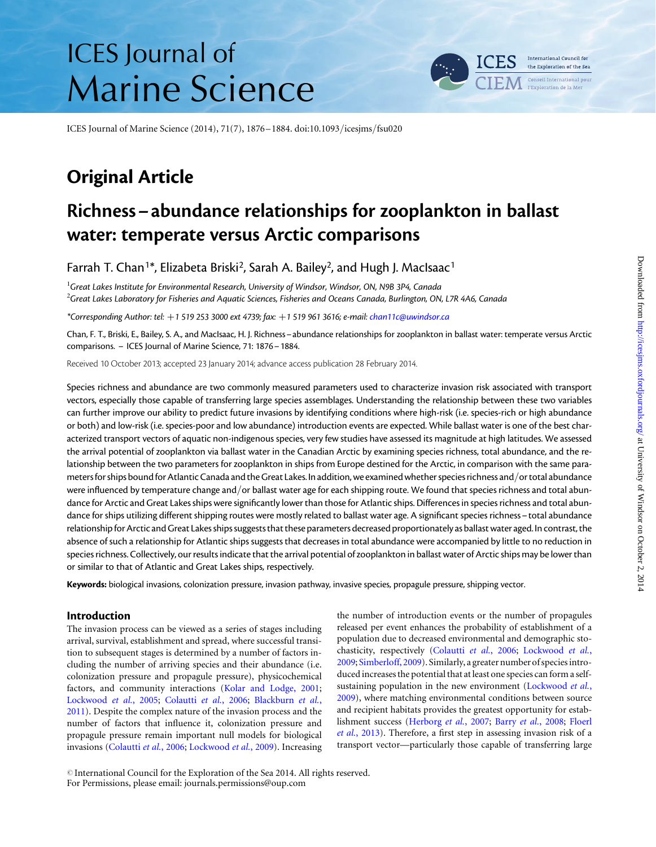# ICES Journal of Marine Science

ICES Journal of Marine Science (2014), 71(7), 1876–1884. doi:10.1093/icesjms/fsu020

# Original Article

## Richness–abundance relationships for zooplankton in ballast water: temperate versus Arctic comparisons

Farrah T. Chan<sup>1\*</sup>, Elizabeta Briski<sup>2</sup>, Sarah A. Bailey<sup>2</sup>, and Hugh J. MacIsaac<sup>1</sup>

 $^{\rm l}$ Great Lakes Institute for Environmental Research, University of Windsor, Windsor, ON, N9B 3P4, Canada  $^2$ Great Lakes Laboratory for Fisheries and Aquatic Sciences, Fisheries and Oceans Canada, Burlington, ON, L7R 4A6, Canada

\*Corresponding Author: tel: +1 519 253 3000 ext 4739; fax: +1 519 961 3616; e-mail: [chan11c@uwindsor.ca](mailto:chan11c@uwindsor.ca)

Chan, F. T., Briski, E., Bailey, S. A., and MacIsaac, H. J. Richness–abundance relationships for zooplankton in ballast water: temperate versus Arctic comparisons. – ICES Journal of Marine Science, 71: 1876–1884.

Received 10 October 2013; accepted 23 January 2014; advance access publication 28 February 2014.

Species richness and abundance are two commonly measured parameters used to characterize invasion risk associated with transport vectors, especially those capable of transferring large species assemblages. Understanding the relationship between these two variables can further improve our ability to predict future invasions by identifying conditions where high-risk (i.e. species-rich or high abundance or both) and low-risk (i.e. species-poor and low abundance) introduction events are expected. While ballast water is one of the best characterized transport vectors of aquatic non-indigenous species, very few studies have assessed its magnitude at high latitudes. We assessed the arrival potential of zooplankton via ballast water in the Canadian Arctic by examining species richness, total abundance, and the relationship between the two parameters for zooplankton in ships from Europe destined for the Arctic, in comparison with the same parameters for ships bound for Atlantic Canada and the Great Lakes. In addition, we examined whether species richness and/or total abundance were influenced by temperature change and/or ballast water age for each shipping route. We found that species richness and total abundance for Arctic and Great Lakes ships were significantly lower than those for Atlantic ships. Differences in species richness and total abundance for ships utilizing different shipping routes were mostly related to ballast water age. A significant species richness – total abundance relationship for Arctic and Great Lakes ships suggests that these parameters decreased proportionately as ballastwater aged. In contrast, the absence of such a relationship for Atlantic ships suggests that decreases in total abundance were accompanied by little to no reduction in species richness. Collectively, our results indicate that the arrival potential of zooplankton in ballast water of Arctic ships may be lower than or similar to that of Atlantic and Great Lakes ships, respectively.

Keywords: biological invasions, colonization pressure, invasion pathway, invasive species, propagule pressure, shipping vector.

#### Introduction

The invasion process can be viewed as a series of stages including arrival, survival, establishment and spread, where successful transition to subsequent stages is determined by a number of factors including the number of arriving species and their abundance (i.e. colonization pressure and propagule pressure), physicochemical factors, and community interactions [\(Kolar and Lodge, 2001](#page-7-0); [Lockwood](#page-7-0) et al., 2005; [Colautti](#page-7-0) et al., 2006; [Blackburn](#page-6-0) et al., [2011\)](#page-6-0). Despite the complex nature of the invasion process and the number of factors that influence it, colonization pressure and propagule pressure remain important null models for biological invasions ([Colautti](#page-7-0) et al., 2006; [Lockwood](#page-7-0) et al., 2009). Increasing the number of introduction events or the number of propagules released per event enhances the probability of establishment of a population due to decreased environmental and demographic stochasticity, respectively ([Colautti](#page-7-0) et al., 2006; [Lockwood](#page-7-0) et al., [2009;](#page-7-0) [Simberloff, 2009\)](#page-7-0). Similarly, a greater number of speciesintroduced increases the potential that at least one species can form a self-sustaining population in the new environment [\(Lockwood](#page-7-0) et al., [2009\)](#page-7-0), where matching environmental conditions between source and recipient habitats provides the greatest opportunity for establishment success ([Herborg](#page-7-0) et al., 2007; Barry et al.[, 2008](#page-6-0); [Floerl](#page-7-0) et al.[, 2013\)](#page-7-0). Therefore, a first step in assessing invasion risk of a transport vector—particularly those capable of transferring large

International Council for the Exploration of the Sea

<sup>©</sup> International Council for the Exploration of the Sea 2014. All rights reserved. For Permissions, please email: journals.permissions@oup.com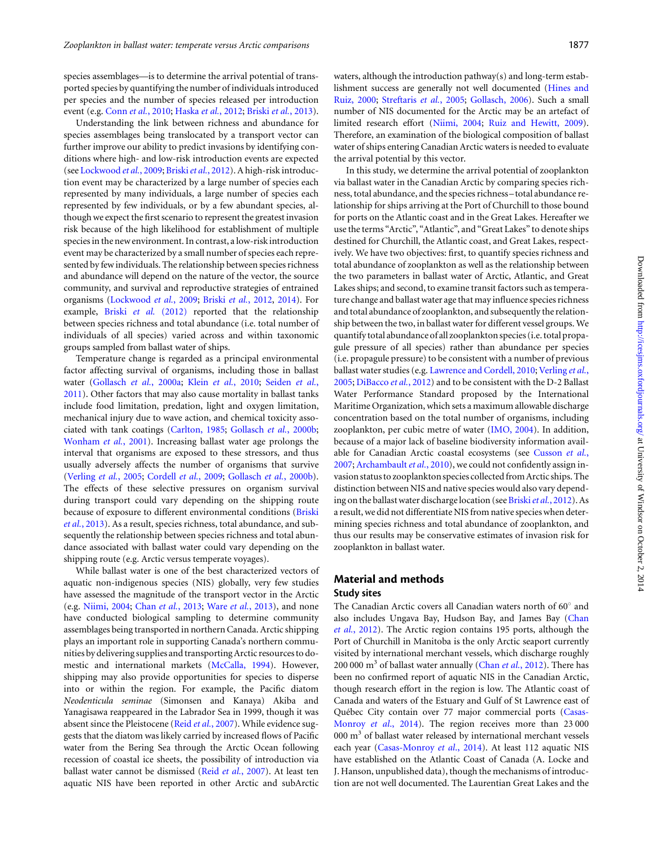species assemblages—is to determine the arrival potential of transported species by quantifying the number of individuals introduced per species and the number of species released per introduction event (e.g. Conn et al.[, 2010](#page-7-0); [Haska](#page-7-0) et al., 2012; Briski et al.[, 2013](#page-6-0)).

Understanding the link between richness and abundance for species assemblages being translocated by a transport vector can further improve our ability to predict invasions by identifying conditions where high- and low-risk introduction events are expected (see [Lockwood](#page-7-0) et al., 2009; Briski et al.[, 2012\)](#page-6-0). A high-risk introduction event may be characterized by a large number of species each represented by many individuals, a large number of species each represented by few individuals, or by a few abundant species, although we expect the first scenario to represent the greatest invasion risk because of the high likelihood for establishment of multiple species in the new environment. In contrast, a low-risk introduction event may be characterized by a small number of species each represented by few individuals. The relationship between species richness and abundance will depend on the nature of the vector, the source community, and survival and reproductive strategies of entrained organisms [\(Lockwood](#page-7-0) et al., 2009; Briski et al.[, 2012](#page-6-0), [2014\)](#page-6-0). For example, Briski et al. [\(2012\)](#page-6-0) reported that the relationship between species richness and total abundance (i.e. total number of individuals of all species) varied across and within taxonomic groups sampled from ballast water of ships.

Temperature change is regarded as a principal environmental factor affecting survival of organisms, including those in ballast water ([Gollasch](#page-7-0) et al., 2000a; Klein et al.[, 2010;](#page-7-0) [Seiden](#page-7-0) et al., [2011\)](#page-7-0). Other factors that may also cause mortality in ballast tanks include food limitation, predation, light and oxygen limitation, mechanical injury due to wave action, and chemical toxicity associated with tank coatings [\(Carlton, 1985;](#page-6-0) [Gollasch](#page-7-0) et al., 2000b; [Wonham](#page-8-0) et al., 2001). Increasing ballast water age prolongs the interval that organisms are exposed to these stressors, and thus usually adversely affects the number of organisms that survive ([Verling](#page-8-0) et al., 2005; [Cordell](#page-7-0) et al., 2009; [Gollasch](#page-7-0) et al., 2000b). The effects of these selective pressures on organism survival during transport could vary depending on the shipping route because of exposure to different environmental conditions ([Briski](#page-6-0) et al.[, 2013](#page-6-0)). As a result, species richness, total abundance, and subsequently the relationship between species richness and total abundance associated with ballast water could vary depending on the shipping route (e.g. Arctic versus temperate voyages).

While ballast water is one of the best characterized vectors of aquatic non-indigenous species (NIS) globally, very few studies have assessed the magnitude of the transport vector in the Arctic (e.g. [Niimi, 2004](#page-7-0); Chan et al.[, 2013](#page-6-0); Ware et al.[, 2013\)](#page-8-0), and none have conducted biological sampling to determine community assemblages being transported in northern Canada. Arctic shipping plays an important role in supporting Canada's northern communities by delivering supplies and transporting Arctic resources to domestic and international markets [\(McCalla, 1994](#page-7-0)). However, shipping may also provide opportunities for species to disperse into or within the region. For example, the Pacific diatom Neodenticula seminae (Simonsen and Kanaya) Akiba and Yanagisawa reappeared in the Labrador Sea in 1999, though it was absent since the Pleistocene (Reid et al.[, 2007\)](#page-7-0). While evidence suggests that the diatom was likely carried by increased flows of Pacific water from the Bering Sea through the Arctic Ocean following recession of coastal ice sheets, the possibility of introduction via ballast water cannot be dismissed (Reid et al.[, 2007\)](#page-7-0). At least ten aquatic NIS have been reported in other Arctic and subArctic

waters, although the introduction pathway(s) and long-term establishment success are generally not well documented ([Hines and](#page-7-0) [Ruiz, 2000](#page-7-0); [Streftaris](#page-7-0) et al., 2005; [Gollasch, 2006](#page-7-0)). Such a small number of NIS documented for the Arctic may be an artefact of limited research effort [\(Niimi, 2004;](#page-7-0) [Ruiz and Hewitt, 2009](#page-7-0)). Therefore, an examination of the biological composition of ballast water of ships entering Canadian Arctic waters is needed to evaluate the arrival potential by this vector.

In this study, we determine the arrival potential of zooplankton via ballast water in the Canadian Arctic by comparing species richness, total abundance, and the species richness– total abundance relationship for ships arriving at the Port of Churchill to those bound for ports on the Atlantic coast and in the Great Lakes. Hereafter we use the terms "Arctic", "Atlantic", and "Great Lakes" to denote ships destined for Churchill, the Atlantic coast, and Great Lakes, respectively. We have two objectives: first, to quantify species richness and total abundance of zooplankton as well as the relationship between the two parameters in ballast water of Arctic, Atlantic, and Great Lakes ships; and second, to examine transit factors such as temperature change and ballast water age that may influence species richness and total abundance of zooplankton, and subsequently the relationship between the two, in ballast water for different vessel groups. We quantify total abundance of all zooplankton species (i.e. total propagule pressure of all species) rather than abundance per species (i.e. propagule pressure) to be consistent with a number of previous ballast water studies (e.g. [Lawrence and Cordell, 2010;](#page-7-0) [Verling](#page-8-0) et al., [2005](#page-8-0); [DiBacco](#page-7-0) et al., 2012) and to be consistent with the D-2 Ballast Water Performance Standard proposed by the International Maritime Organization, which sets a maximum allowable discharge concentration based on the total number of organisms, including zooplankton, per cubic metre of water [\(IMO, 2004](#page-7-0)). In addition, because of a major lack of baseline biodiversity information avail-able for Canadian Arctic coastal ecosystems (see [Cusson](#page-7-0) et al., [2007](#page-7-0); [Archambault](#page-6-0) et al., 2010), we could not confidently assign invasion status to zooplankton species collected from Arctic ships. The distinction between NIS and native species would also vary depend-ing on the ballast water discharge location (see [Briski](#page-6-0) et al., 2012). As a result, we did not differentiate NIS from native species when determining species richness and total abundance of zooplankton, and thus our results may be conservative estimates of invasion risk for zooplankton in ballast water.

## Material and methods Study sites

The Canadian Arctic covers all Canadian waters north of  $60^\circ$  and also includes Ungava Bay, Hudson Bay, and James Bay [\(Chan](#page-7-0) et al.[, 2012](#page-7-0)). The Arctic region contains 195 ports, although the Port of Churchill in Manitoba is the only Arctic seaport currently visited by international merchant vessels, which discharge roughly 200 000 m<sup>3</sup> of ballast water annually (Chan et al.[, 2012](#page-7-0)). There has been no confirmed report of aquatic NIS in the Canadian Arctic, though research effort in the region is low. The Atlantic coast of Canada and waters of the Estuary and Gulf of St Lawrence east of Québec City contain over 77 major commercial ports ([Casas-](#page-6-0)[Monroy](#page-6-0) et al., 2014). The region receives more than 23 000  $000 \text{ m}^3$  of ballast water released by international merchant vessels each year ([Casas-Monroy](#page-6-0) et al., 2014). At least 112 aquatic NIS have established on the Atlantic Coast of Canada (A. Locke and J. Hanson, unpublished data), though the mechanisms of introduction are not well documented. The Laurentian Great Lakes and the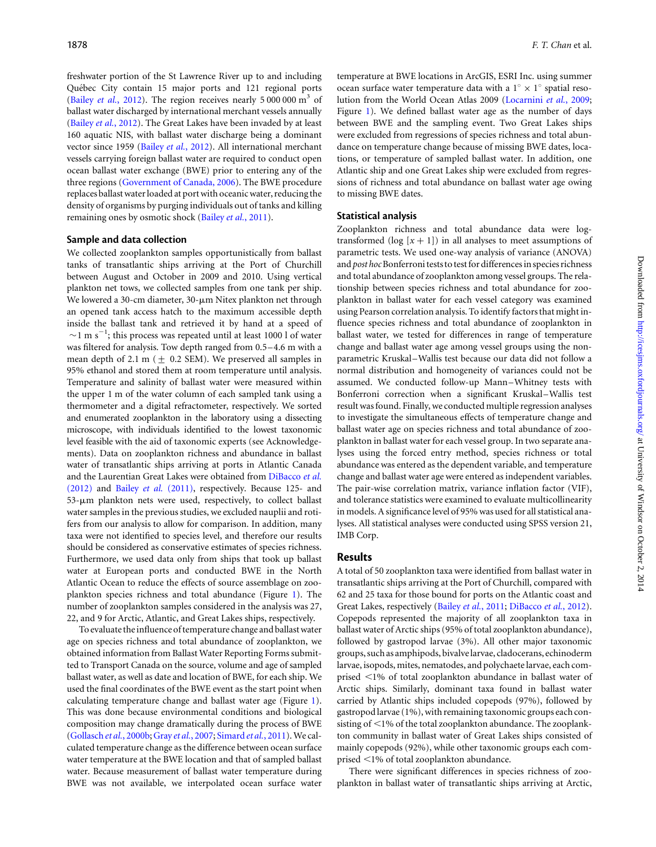freshwater portion of the St Lawrence River up to and including Québec City contain 15 major ports and 121 regional ports (Bailey *et al.*[, 2012](#page-6-0)). The region receives nearly 5 000 000  $m<sup>3</sup>$  of ballast water discharged by international merchant vessels annually (Bailey et al.[, 2012](#page-6-0)). The Great Lakes have been invaded by at least 160 aquatic NIS, with ballast water discharge being a dominant vector since 1959 [\(Bailey](#page-6-0) et al., 2012). All international merchant vessels carrying foreign ballast water are required to conduct open ocean ballast water exchange (BWE) prior to entering any of the three regions [\(Government of Canada, 2006\)](#page-7-0). The BWE procedure replaces ballast water loaded at port with oceanic water, reducing the density of organisms by purging individuals out of tanks and killing remaining ones by osmotic shock (Bailey et al.[, 2011\)](#page-6-0).

#### Sample and data collection

We collected zooplankton samples opportunistically from ballast tanks of transatlantic ships arriving at the Port of Churchill between August and October in 2009 and 2010. Using vertical plankton net tows, we collected samples from one tank per ship. We lowered a 30-cm diameter, 30-μm Nitex plankton net through an opened tank access hatch to the maximum accessible depth inside the ballast tank and retrieved it by hand at a speed of  $\sim$ 1 m s<sup>-1</sup>; this process was repeated until at least 1000 l of water was filtered for analysis. Tow depth ranged from 0.5 –4.6 m with a mean depth of 2.1 m ( $\pm$  0.2 SEM). We preserved all samples in 95% ethanol and stored them at room temperature until analysis. Temperature and salinity of ballast water were measured within the upper 1 m of the water column of each sampled tank using a thermometer and a digital refractometer, respectively. We sorted and enumerated zooplankton in the laboratory using a dissecting microscope, with individuals identified to the lowest taxonomic level feasible with the aid of taxonomic experts (see Acknowledgements). Data on zooplankton richness and abundance in ballast water of transatlantic ships arriving at ports in Atlantic Canada and the Laurentian Great Lakes were obtained from [DiBacco](#page-7-0) et al. [\(2012\)](#page-7-0) and Bailey et al. [\(2011\)](#page-6-0), respectively. Because 125- and  $53$ - $\mu$ m plankton nets were used, respectively, to collect ballast water samples in the previous studies, we excluded nauplii and rotifers from our analysis to allow for comparison. In addition, many taxa were not identified to species level, and therefore our results should be considered as conservative estimates of species richness. Furthermore, we used data only from ships that took up ballast water at European ports and conducted BWE in the North Atlantic Ocean to reduce the effects of source assemblage on zooplankton species richness and total abundance (Figure [1\)](#page-3-0). The number of zooplankton samples considered in the analysis was 27, 22, and 9 for Arctic, Atlantic, and Great Lakes ships, respectively.

To evaluate the influence of temperature change and ballast water age on species richness and total abundance of zooplankton, we obtained information from Ballast Water Reporting Forms submitted to Transport Canada on the source, volume and age of sampled ballast water, as well as date and location of BWE, for each ship. We used the final coordinates of the BWE event as the start point when calculating temperature change and ballast water age (Figure [1\)](#page-3-0). This was done because environmental conditions and biological composition may change dramatically during the process of BWE ([Gollasch](#page-7-0) et al., 2000b;Gray et al.[, 2007](#page-7-0); [Simard](#page-7-0) et al., 2011).We calculated temperature change as the difference between ocean surface water temperature at the BWE location and that of sampled ballast water. Because measurement of ballast water temperature during BWE was not available, we interpolated ocean surface water temperature at BWE locations in ArcGIS, ESRI Inc. using summer ocean surface water temperature data with a  $1^{\circ} \times 1^{\circ}$  spatial resolution from the World Ocean Atlas 2009 ([Locarnini](#page-7-0) et al., 2009; Figure [1\)](#page-3-0). We defined ballast water age as the number of days between BWE and the sampling event. Two Great Lakes ships were excluded from regressions of species richness and total abundance on temperature change because of missing BWE dates, locations, or temperature of sampled ballast water. In addition, one Atlantic ship and one Great Lakes ship were excluded from regressions of richness and total abundance on ballast water age owing to missing BWE dates.

#### Statistical analysis

Zooplankton richness and total abundance data were logtransformed (log  $[x + 1]$ ) in all analyses to meet assumptions of parametric tests. We used one-way analysis of variance (ANOVA) and post hoc Bonferroni tests to test for differences in species richness and total abundance of zooplankton among vessel groups. The relationship between species richness and total abundance for zooplankton in ballast water for each vessel category was examined using Pearson correlation analysis. To identify factors that might influence species richness and total abundance of zooplankton in ballast water, we tested for differences in range of temperature change and ballast water age among vessel groups using the nonparametric Kruskal –Wallis test because our data did not follow a normal distribution and homogeneity of variances could not be assumed. We conducted follow-up Mann–Whitney tests with Bonferroni correction when a significant Kruskal-Wallis test result wasfound. Finally, we conducted multiple regression analyses to investigate the simultaneous effects of temperature change and ballast water age on species richness and total abundance of zooplankton in ballast water for each vessel group. In two separate analyses using the forced entry method, species richness or total abundance was entered as the dependent variable, and temperature change and ballast water age were entered as independent variables. The pair-wise correlation matrix, variance inflation factor (VIF), and tolerance statistics were examined to evaluate multicollinearity in models. A significance level of 95% was used for all statistical analyses. All statistical analyses were conducted using SPSS version 21, IMB Corp.

#### Results

A total of 50 zooplankton taxa were identified from ballast water in transatlantic ships arriving at the Port of Churchill, compared with 62 and 25 taxa for those bound for ports on the Atlantic coast and Great Lakes, respectively (Bailey et al.[, 2011](#page-6-0); [DiBacco](#page-7-0) et al., 2012). Copepods represented the majority of all zooplankton taxa in ballast water of Arctic ships (95% of total zooplankton abundance), followed by gastropod larvae (3%). All other major taxonomic groups, such as amphipods, bivalve larvae, cladocerans, echinoderm larvae, isopods, mites, nematodes, and polychaete larvae, each comprised <1% of total zooplankton abundance in ballast water of Arctic ships. Similarly, dominant taxa found in ballast water carried by Atlantic ships included copepods (97%), followed by gastropod larvae (1%), with remaining taxonomic groups each consisting of  $\leq$ 1% of the total zooplankton abundance. The zooplankton community in ballast water of Great Lakes ships consisted of mainly copepods (92%), while other taxonomic groups each comprised <1% of total zooplankton abundance.

There were significant differences in species richness of zooplankton in ballast water of transatlantic ships arriving at Arctic,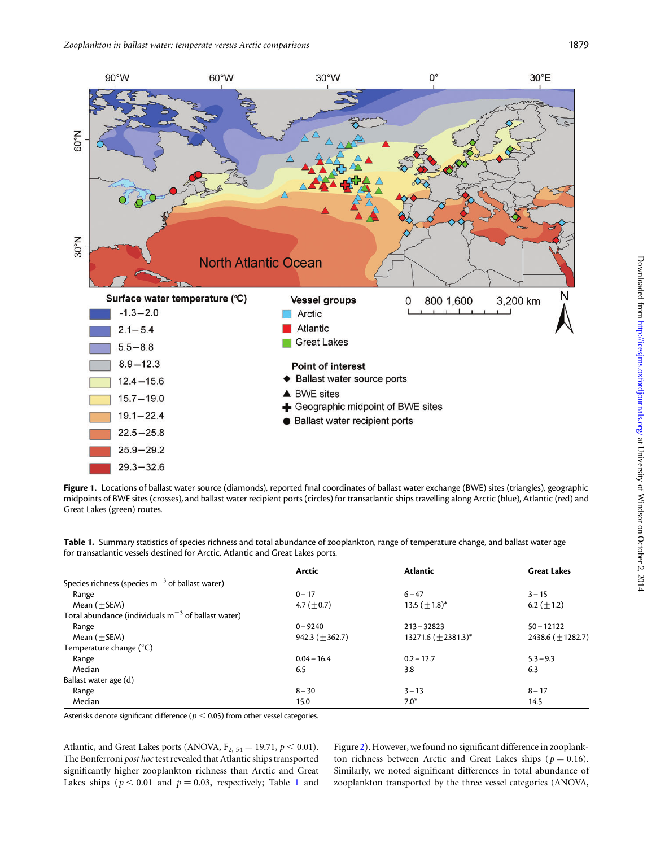<span id="page-3-0"></span>

Figure 1. Locations of ballast water source (diamonds), reported final coordinates of ballast water exchange (BWE) sites (triangles), geographic midpoints of BWE sites (crosses), and ballast water recipient ports (circles) for transatlantic ships travelling along Arctic (blue), Atlantic (red) and Great Lakes (green) routes.

Table 1. Summary statistics of species richness and total abundance of zooplankton, range of temperature change, and ballast water age for transatlantic vessels destined for Arctic, Atlantic and Great Lakes ports.

|                                                         | Arctic              | <b>Atlantic</b>          | <b>Great Lakes</b>    |  |
|---------------------------------------------------------|---------------------|--------------------------|-----------------------|--|
| Species richness (species $m^{-3}$ of ballast water)    |                     |                          |                       |  |
| Range                                                   | $0 - 17$            | $6 - 47$                 | $3 - 15$              |  |
| Mean $(\pm$ SEM)                                        | 4.7 $(\pm 0.7)$     | 13.5 $(\pm 1.8)^*$       | 6.2 ( $\pm$ 1.2)      |  |
| Total abundance (individuals $m^{-3}$ of ballast water) |                     |                          |                       |  |
| Range                                                   | $0 - 9240$          | $213 - 32823$            | $50 - 12122$          |  |
| Mean $(+$ SEM)                                          | 942.3 $(\pm 362.7)$ | 13271.6 $(\pm 2381.3)^*$ | 2438.6 $(\pm 1282.7)$ |  |
| Temperature change $(^{\circ}C)$                        |                     |                          |                       |  |
| Range                                                   | $0.04 - 16.4$       | $0.2 - 12.7$             | $5.3 - 9.3$           |  |
| Median                                                  | 6.5                 | 3.8                      | 6.3                   |  |
| Ballast water age (d)                                   |                     |                          |                       |  |
| Range                                                   | $8 - 30$            | $3 - 13$                 | $8 - 17$              |  |
| Median                                                  | 15.0                | $7.0*$                   | 14.5                  |  |

Asterisks denote significant difference ( $p < 0.05$ ) from other vessel categories.

Atlantic, and Great Lakes ports (ANOVA,  $F_{2, 54} = 19.71, p \le 0.01$ ). The Bonferroni post hoc test revealed that Atlantic ships transported significantly higher zooplankton richness than Arctic and Great Lakes ships ( $p < 0.01$  and  $p = 0.03$ , respectively; Table 1 and Figure [2\)](#page-4-0). However, we found no significant difference in zooplankton richness between Arctic and Great Lakes ships ( $p = 0.16$ ). Similarly, we noted significant differences in total abundance of zooplankton transported by the three vessel categories (ANOVA,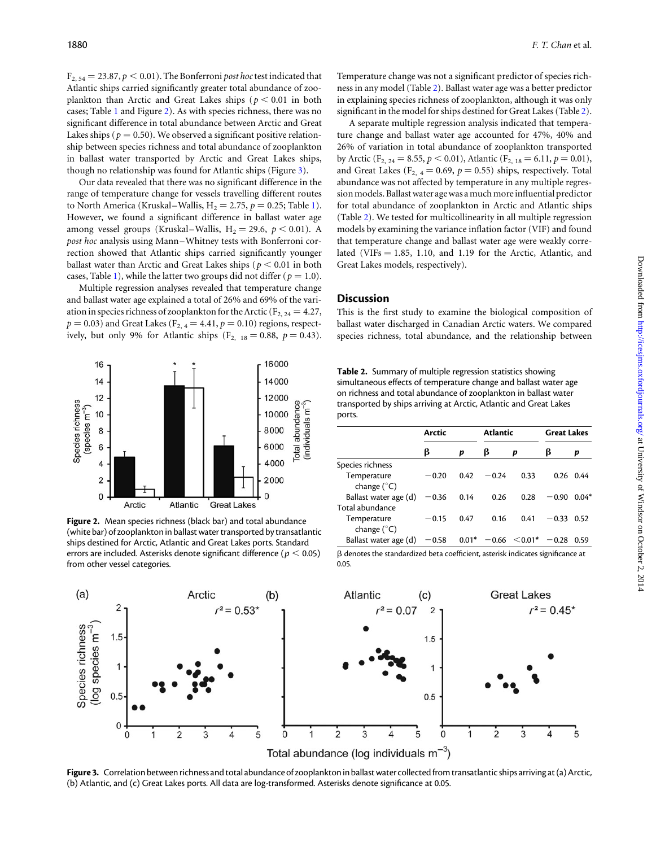<span id="page-4-0"></span> $F_{2, 54} = 23.87, p < 0.01$ . The Bonferroni post hoc test indicated that Atlantic ships carried significantly greater total abundance of zooplankton than Arctic and Great Lakes ships ( $p < 0.01$  in both cases; Table [1](#page-3-0) and Figure 2). As with species richness, there was no significant difference in total abundance between Arctic and Great Lakes ships ( $p = 0.50$ ). We observed a significant positive relationship between species richness and total abundance of zooplankton in ballast water transported by Arctic and Great Lakes ships, though no relationship was found for Atlantic ships (Figure 3).

Our data revealed that there was no significant difference in the range of temperature change for vessels travelling different routes to North America (Kruskal – Wallis,  $H_2 = 2.75$ ,  $p = 0.25$ ; Table [1\)](#page-3-0). However, we found a significant difference in ballast water age among vessel groups (Kruskal–Wallis,  $H_2 = 29.6$ ,  $p < 0.01$ ). A post hoc analysis using Mann–Whitney tests with Bonferroni correction showed that Atlantic ships carried significantly younger ballast water than Arctic and Great Lakes ships ( $p < 0.01$  in both cases, Table [1\)](#page-3-0), while the latter two groups did not differ ( $p = 1.0$ ).

Multiple regression analyses revealed that temperature change and ballast water age explained a total of 26% and 69% of the variation in species richness of zooplankton for the Arctic ( $F_{2, 24} = 4.27$ ,  $p = 0.03$ ) and Great Lakes (F<sub>2, 4</sub> = 4.41,  $p = 0.10$ ) regions, respectively, but only 9% for Atlantic ships ( $F_{2, 18} = 0.88$ ,  $p = 0.43$ ).



Figure 2. Mean species richness (black bar) and total abundance (white bar) of zooplankton in ballast water transported by transatlantic ships destined for Arctic, Atlantic and Great Lakes ports. Standard errors are included. Asterisks denote significant difference ( $p < 0.05$ ) from other vessel categories.

Temperature change was not a significant predictor of species richness in any model (Table 2). Ballast water age was a better predictor in explaining species richness of zooplankton, although it was only significant in the model for ships destined for Great Lakes (Table 2).

A separate multiple regression analysis indicated that temperature change and ballast water age accounted for 47%, 40% and 26% of variation in total abundance of zooplankton transported by Arctic (F<sub>2, 24</sub> = 8.55,  $p < 0.01$ ), Atlantic (F<sub>2, 18</sub> = 6.11,  $p = 0.01$ ), and Great Lakes ( $F_{2,4} = 0.69$ ,  $p = 0.55$ ) ships, respectively. Total abundance was not affected by temperature in any multiple regression models. Ballast water agewas amuch more influential predictor for total abundance of zooplankton in Arctic and Atlantic ships (Table 2). We tested for multicollinearity in all multiple regression models by examining the variance inflation factor (VIF) and found that temperature change and ballast water age were weakly correlated (VIFs  $= 1.85, 1.10,$  and 1.19 for the Arctic, Atlantic, and Great Lakes models, respectively).

#### **Discussion**

This is the first study to examine the biological composition of ballast water discharged in Canadian Arctic waters. We compared species richness, total abundance, and the relationship between

Table 2. Summary of multiple regression statistics showing simultaneous effects of temperature change and ballast water age on richness and total abundance of zooplankton in ballast water transported by ships arriving at Arctic, Atlantic and Great Lakes ports.

|                       | Arctic  |         | <b>Atlantic</b> |                   | <b>Great Lakes</b> |             |
|-----------------------|---------|---------|-----------------|-------------------|--------------------|-------------|
|                       | β       | p       | β               | р                 | β                  | p           |
| Species richness      |         |         |                 |                   |                    |             |
| Temperature           | $-0.20$ | 0.42    | $-0.24$         | 0.33              |                    | $0.26$ 0.44 |
| change $(^{\circ}C)$  |         |         |                 |                   |                    |             |
| Ballast water age (d) | $-0.36$ | 0.14    | 0.26            | 0.28              | $-0.90$            | $0.04*$     |
| Total abundance       |         |         |                 |                   |                    |             |
| Temperature           | $-0.15$ | 0.47    | 0.16            | 0.41              | $-0.33$ 0.52       |             |
| change $(^{\circ}C)$  |         |         |                 |                   |                    |             |
| Ballast water age (d) | $-0.58$ | $0.01*$ |                 | $-0.66 \le 0.01*$ | $-0.28$            | 0.59        |

b denotes the standardized beta coefficient, asterisk indicates significance at 0.05.



Figure 3. Correlation between richness and total abundance of zooplankton in ballast water collected from transatlantic ships arriving at (a) Arctic, (b) Atlantic, and (c) Great Lakes ports. All data are log-transformed. Asterisks denote significance at 0.05.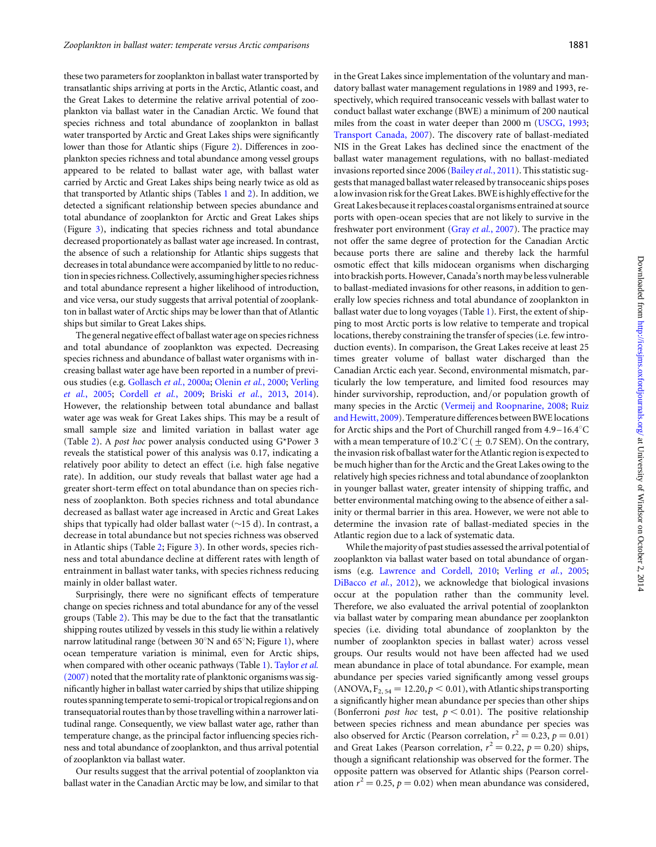these two parameters for zooplankton in ballast water transported by transatlantic ships arriving at ports in the Arctic, Atlantic coast, and the Great Lakes to determine the relative arrival potential of zooplankton via ballast water in the Canadian Arctic. We found that species richness and total abundance of zooplankton in ballast water transported by Arctic and Great Lakes ships were significantly lower than those for Atlantic ships (Figure [2\)](#page-4-0). Differences in zooplankton species richness and total abundance among vessel groups appeared to be related to ballast water age, with ballast water carried by Arctic and Great Lakes ships being nearly twice as old as that transported by Atlantic ships (Tables [1](#page-3-0) and [2\)](#page-4-0). In addition, we detected a significant relationship between species abundance and total abundance of zooplankton for Arctic and Great Lakes ships (Figure [3\)](#page-4-0), indicating that species richness and total abundance decreased proportionately as ballast water age increased. In contrast, the absence of such a relationship for Atlantic ships suggests that decreases in total abundance were accompanied by little to no reductionin species richness. Collectively, assuming higher species richness and total abundance represent a higher likelihood of introduction, and vice versa, our study suggests that arrival potential of zooplankton in ballast water of Arctic ships may be lower than that of Atlantic ships but similar to Great Lakes ships.

The general negative effect of ballast water age on species richness and total abundance of zooplankton was expected. Decreasing species richness and abundance of ballast water organisms with increasing ballast water age have been reported in a number of previous studies (e.g. [Gollasch](#page-7-0) et al., 2000a; [Olenin](#page-7-0) et al., 2000; [Verling](#page-8-0) et al.[, 2005](#page-8-0); [Cordell](#page-7-0) et al., 2009; Briski et al.[, 2013](#page-6-0), [2014](#page-6-0)). However, the relationship between total abundance and ballast water age was weak for Great Lakes ships. This may be a result of small sample size and limited variation in ballast water age (Table [2\)](#page-4-0). A post hoc power analysis conducted using G\*Power 3 reveals the statistical power of this analysis was 0.17, indicating a relatively poor ability to detect an effect (i.e. high false negative rate). In addition, our study reveals that ballast water age had a greater short-term effect on total abundance than on species richness of zooplankton. Both species richness and total abundance decreased as ballast water age increased in Arctic and Great Lakes ships that typically had older ballast water  $(\sim]$  5 d). In contrast, a decrease in total abundance but not species richness was observed in Atlantic ships (Table [2](#page-4-0); Figure [3\)](#page-4-0). In other words, species richness and total abundance decline at different rates with length of entrainment in ballast water tanks, with species richness reducing mainly in older ballast water.

Surprisingly, there were no significant effects of temperature change on species richness and total abundance for any of the vessel groups (Table [2\)](#page-4-0). This may be due to the fact that the transatlantic shipping routes utilized by vessels in this study lie within a relatively narrow latitudinal range (between  $30^{\circ}$ N and  $65^{\circ}$ N; Figure [1\)](#page-3-0), where ocean temperature variation is minimal, even for Arctic ships, when compared with other oceanic pathways (Table [1\)](#page-3-0). [Taylor](#page-7-0) et al. [\(2007\)](#page-7-0) noted that the mortality rate of planktonic organisms was significantly higher in ballast water carried by ships that utilize shipping routes spanning temperate to semi-tropical or tropical regions and on transequatorial routes than by those travelling within a narrower latitudinal range. Consequently, we view ballast water age, rather than temperature change, as the principal factor influencing species richness and total abundance of zooplankton, and thus arrival potential of zooplankton via ballast water.

Our results suggest that the arrival potential of zooplankton via ballast water in the Canadian Arctic may be low, and similar to that

in the Great Lakes since implementation of the voluntary and mandatory ballast water management regulations in 1989 and 1993, respectively, which required transoceanic vessels with ballast water to conduct ballast water exchange (BWE) a minimum of 200 nautical miles from the coast in water deeper than 2000 m [\(USCG, 1993;](#page-8-0) [Transport Canada, 2007](#page-7-0)). The discovery rate of ballast-mediated NIS in the Great Lakes has declined since the enactment of the ballast water management regulations, with no ballast-mediated invasions reported since 2006 [\(Bailey](#page-6-0) et al., 2011). This statistic suggests that managed ballastwater released by transoceanic ships poses a low invasion risk for the Great Lakes. BWE is highly effective for the Great Lakes because it replaces coastal organisms entrained at source ports with open-ocean species that are not likely to survive in the freshwater port environment (Gray et al.[, 2007\)](#page-7-0). The practice may not offer the same degree of protection for the Canadian Arctic because ports there are saline and thereby lack the harmful osmotic effect that kills midocean organisms when discharging into brackish ports. However, Canada's north may be less vulnerable to ballast-mediated invasions for other reasons, in addition to generally low species richness and total abundance of zooplankton in ballast water due to long voyages (Table [1](#page-3-0)). First, the extent of shipping to most Arctic ports is low relative to temperate and tropical locations, thereby constraining the transfer of species (i.e. few introduction events). In comparison, the Great Lakes receive at least 25 times greater volume of ballast water discharged than the Canadian Arctic each year. Second, environmental mismatch, particularly the low temperature, and limited food resources may hinder survivorship, reproduction, and/or population growth of many species in the Arctic [\(Vermeij and Roopnarine, 2008](#page-8-0); [Ruiz](#page-7-0) [and Hewitt, 2009](#page-7-0)). Temperature differences between BWE locations for Arctic ships and the Port of Churchill ranged from  $4.9-16.4^{\circ}$ C with a mean temperature of  $10.2^{\circ}$ C ( $\pm$  0.7 SEM). On the contrary, the invasion risk of ballast water for the Atlantic region is expected to be much higher than for the Arctic and the Great Lakes owing to the relatively high species richness and total abundance of zooplankton in younger ballast water, greater intensity of shipping traffic, and better environmental matching owing to the absence of either a salinity or thermal barrier in this area. However, we were not able to determine the invasion rate of ballast-mediated species in the Atlantic region due to a lack of systematic data.

While the majority of past studies assessed the arrival potential of zooplankton via ballast water based on total abundance of organisms (e.g. [Lawrence and Cordell, 2010;](#page-7-0) [Verling](#page-8-0) et al., 2005; [DiBacco](#page-7-0) et al., 2012), we acknowledge that biological invasions occur at the population rather than the community level. Therefore, we also evaluated the arrival potential of zooplankton via ballast water by comparing mean abundance per zooplankton species (i.e. dividing total abundance of zooplankton by the number of zooplankton species in ballast water) across vessel groups. Our results would not have been affected had we used mean abundance in place of total abundance. For example, mean abundance per species varied significantly among vessel groups (ANOVA,  $F_{2, 54} = 12.20, p < 0.01$ ), with Atlantic ships transporting a significantly higher mean abundance per species than other ships (Bonferroni *post hoc* test,  $p < 0.01$ ). The positive relationship between species richness and mean abundance per species was also observed for Arctic (Pearson correlation,  $r^2 = 0.23$ ,  $p = 0.01$ ) and Great Lakes (Pearson correlation,  $r^2 = 0.22$ ,  $p = 0.20$ ) ships, though a significant relationship was observed for the former. The opposite pattern was observed for Atlantic ships (Pearson correlation  $r^2 = 0.25$ ,  $p = 0.02$ ) when mean abundance was considered,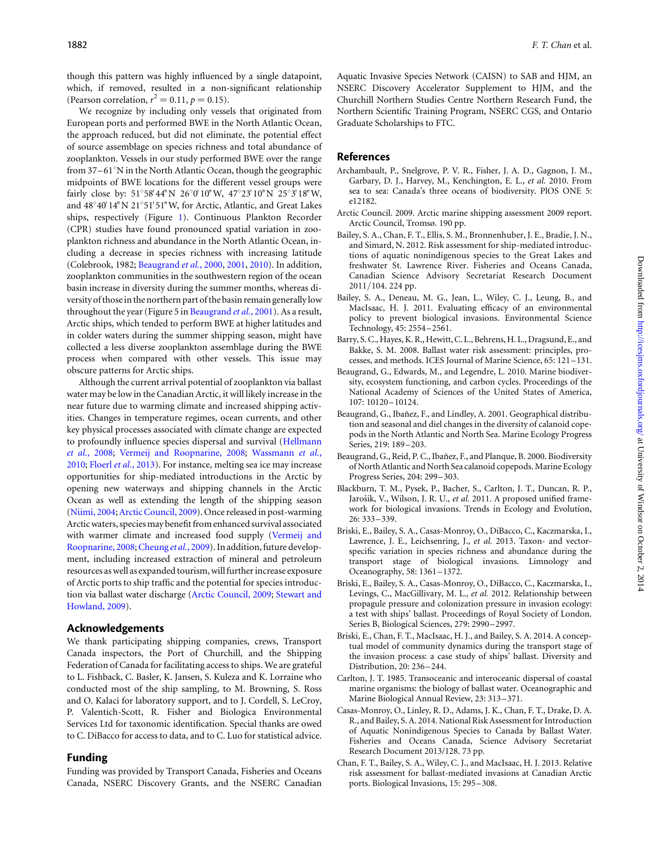<span id="page-6-0"></span>though this pattern was highly influenced by a single datapoint, which, if removed, resulted in a non-significant relationship (Pearson correlation,  $r^2 = 0.11$ ,  $p = 0.15$ ).

We recognize by including only vessels that originated from European ports and performed BWE in the North Atlantic Ocean, the approach reduced, but did not eliminate, the potential effect of source assemblage on species richness and total abundance of zooplankton. Vessels in our study performed BWE over the range from  $37-61^\circ$ N in the North Atlantic Ocean, though the geographic midpoints of BWE locations for the different vessel groups were fairly close by: 51°58′44″N 26°0′10″W, 47°23′10″N 25°3′18″W, and 48°40′ 14″ N 21°51′ 51″ W, for Arctic, Atlantic, and Great Lakes ships, respectively (Figure [1\)](#page-3-0). Continuous Plankton Recorder (CPR) studies have found pronounced spatial variation in zooplankton richness and abundance in the North Atlantic Ocean, including a decrease in species richness with increasing latitude (Colebrook, 1982; Beaugrand et al., 2000, 2001, 2010). In addition, zooplankton communities in the southwestern region of the ocean basin increase in diversity during the summer months, whereas diversity of thosein the northern part of the basin remain generally low throughout the year (Figure 5 in Beaugrand et al., 2001). As a result, Arctic ships, which tended to perform BWE at higher latitudes and in colder waters during the summer shipping season, might have collected a less diverse zooplankton assemblage during the BWE process when compared with other vessels. This issue may obscure patterns for Arctic ships.

Although the current arrival potential of zooplankton via ballast water may be low in the Canadian Arctic, it will likely increase in the near future due to warming climate and increased shipping activities. Changes in temperature regimes, ocean currents, and other key physical processes associated with climate change are expected to profoundly influence species dispersal and survival [\(Hellmann](#page-7-0) et al.[, 2008](#page-7-0); [Vermeij and Roopnarine, 2008;](#page-8-0) [Wassmann](#page-8-0) et al., [2010;](#page-8-0) Floerl et al.[, 2013\)](#page-7-0). For instance, melting sea ice may increase opportunities for ship-mediated introductions in the Arctic by opening new waterways and shipping channels in the Arctic Ocean as well as extending the length of the shipping season ([Niimi, 2004;](#page-7-0)Arctic Council, 2009). Once released in post-warming Arctic waters, species may benefit from enhanced survival associated with warmer climate and increased food supply [\(Vermeij and](#page-8-0) [Roopnarine, 2008;](#page-8-0) [Cheung](#page-7-0) et al., 2009). In addition, future development, including increased extraction of mineral and petroleum resources as well as expanded tourism, will further increase exposure of Arctic ports to ship traffic and the potential for species introduction via ballast water discharge (Arctic Council, 2009; [Stewart and](#page-7-0) [Howland, 2009](#page-7-0)).

#### Acknowledgements

We thank participating shipping companies, crews, Transport Canada inspectors, the Port of Churchill, and the Shipping Federation of Canada for facilitating access to ships. We are grateful to L. Fishback, C. Basler, K. Jansen, S. Kuleza and K. Lorraine who conducted most of the ship sampling, to M. Browning, S. Ross and O. Kalaci for laboratory support, and to J. Cordell, S. LeCroy, P. Valentich-Scott, R. Fisher and Biologica Environmental Services Ltd for taxonomic identification. Special thanks are owed to C. DiBacco for access to data, and to C. Luo for statistical advice.

#### Funding

Funding was provided by Transport Canada, Fisheries and Oceans Canada, NSERC Discovery Grants, and the NSERC Canadian Aquatic Invasive Species Network (CAISN) to SAB and HJM, an NSERC Discovery Accelerator Supplement to HJM, and the Churchill Northern Studies Centre Northern Research Fund, the Northern Scientific Training Program, NSERC CGS, and Ontario Graduate Scholarships to FTC.

### References

- Archambault, P., Snelgrove, P. V. R., Fisher, J. A. D., Gagnon, J. M., Garbary, D. J., Harvey, M., Kenchington, E. L., et al. 2010. From sea to sea: Canada's three oceans of biodiversity. PlOS ONE 5: e12182.
- Arctic Council. 2009. Arctic marine shipping assessment 2009 report. Arctic Council, Tromsø. 190 pp.
- Bailey, S. A., Chan, F. T., Ellis, S. M., Bronnenhuber, J. E., Bradie, J. N., and Simard, N. 2012. Risk assessment for ship-mediated introductions of aquatic nonindigenous species to the Great Lakes and freshwater St. Lawrence River. Fisheries and Oceans Canada, Canadian Science Advisory Secretariat Research Document 2011/104. 224 pp.
- Bailey, S. A., Deneau, M. G., Jean, L., Wiley, C. J., Leung, B., and MacIsaac, H. J. 2011. Evaluating efficacy of an environmental policy to prevent biological invasions. Environmental Science Technology, 45: 2554–2561.
- Barry, S. C., Hayes, K. R., Hewitt, C. L., Behrens, H. L., Dragsund, E., and Bakke, S. M. 2008. Ballast water risk assessment: principles, processes, and methods. ICES Journal of Marine Science, 65: 121 –131.
- Beaugrand, G., Edwards, M., and Legendre, L. 2010. Marine biodiversity, ecosystem functioning, and carbon cycles. Proceedings of the National Academy of Sciences of the United States of America, 107: 10120–10124.
- Beaugrand, G., Ibañez, F., and Lindley, A. 2001. Geographical distribution and seasonal and diel changes in the diversity of calanoid copepods in the North Atlantic and North Sea. Marine Ecology Progress Series, 219: 189-203.
- Beaugrand, G., Reid, P. C., Ibañez, F., and Planque, B. 2000. Biodiversity of North Atlantic and North Sea calanoid copepods. Marine Ecology Progress Series, 204: 299–303.
- Blackburn, T. M., Pysek, P., Bacher, S., Carlton, J. T., Duncan, R. P., Jarošík, V., Wilson, J. R. U., et al. 2011. A proposed unified framework for biological invasions. Trends in Ecology and Evolution, 26: 333–339.
- Briski, E., Bailey, S. A., Casas-Monroy, O., DiBacco, C., Kaczmarska, I., Lawrence, J. E., Leichsenring, J., et al. 2013. Taxon- and vectorspecific variation in species richness and abundance during the transport stage of biological invasions. Limnology and Oceanography, 58: 1361–1372.
- Briski, E., Bailey, S. A., Casas-Monroy, O., DiBacco, C., Kaczmarska, I., Levings, C., MacGillivary, M. L., et al. 2012. Relationship between propagule pressure and colonization pressure in invasion ecology: a test with ships' ballast. Proceedings of Royal Society of London. Series B, Biological Sciences, 279: 2990–2997.
- Briski, E., Chan, F. T., MacIsaac, H. J., and Bailey, S. A. 2014. A conceptual model of community dynamics during the transport stage of the invasion process: a case study of ships' ballast. Diversity and Distribution, 20: 236 –244.
- Carlton, J. T. 1985. Transoceanic and interoceanic dispersal of coastal marine organisms: the biology of ballast water. Oceanographic and Marine Biological Annual Review, 23: 313 –371.
- Casas-Monroy, O., Linley, R. D., Adams, J. K., Chan, F. T., Drake, D. A. R., and Bailey, S. A. 2014. National Risk Assessment for Introduction of Aquatic Nonindigenous Species to Canada by Ballast Water. Fisheries and Oceans Canada, Science Advisory Secretariat Research Document 2013/128. 73 pp.
- Chan, F. T., Bailey, S. A., Wiley, C. J., and MacIsaac, H. J. 2013. Relative risk assessment for ballast-mediated invasions at Canadian Arctic ports. Biological Invasions, 15: 295–308.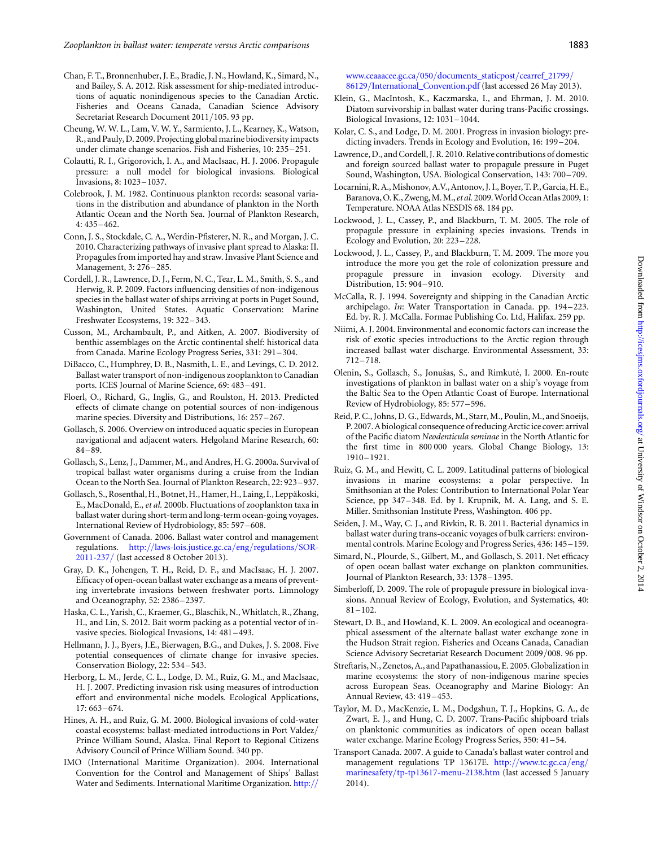- <span id="page-7-0"></span>Chan, F. T., Bronnenhuber, J. E., Bradie, J. N., Howland, K., Simard, N., and Bailey, S. A. 2012. Risk assessment for ship-mediated introductions of aquatic nonindigenous species to the Canadian Arctic. Fisheries and Oceans Canada, Canadian Science Advisory Secretariat Research Document 2011/105. 93 pp.
- Cheung, W. W. L., Lam, V. W. Y., Sarmiento, J. L., Kearney, K., Watson, R., and Pauly, D. 2009. Projecting global marine biodiversity impacts under climate change scenarios. Fish and Fisheries, 10: 235 –251.
- Colautti, R. I., Grigorovich, I. A., and MacIsaac, H. J. 2006. Propagule pressure: a null model for biological invasions. Biological Invasions, 8: 1023 –1037.
- Colebrook, J. M. 1982. Continuous plankton records: seasonal variations in the distribution and abundance of plankton in the North Atlantic Ocean and the North Sea. Journal of Plankton Research, 4: 435 –462.
- Conn, J. S., Stockdale, C. A., Werdin-Pfisterer, N. R., and Morgan, J. C. 2010. Characterizing pathways of invasive plant spread to Alaska: II. Propagules from imported hay and straw. Invasive Plant Science and Management, 3: 276 –285.
- Cordell, J. R., Lawrence, D. J., Ferm, N. C., Tear, L. M., Smith, S. S., and Herwig, R. P. 2009. Factors influencing densities of non-indigenous species in the ballast water of ships arriving at ports in Puget Sound, Washington, United States. Aquatic Conservation: Marine Freshwater Ecosystems, 19: 322–343.
- Cusson, M., Archambault, P., and Aitken, A. 2007. Biodiversity of benthic assemblages on the Arctic continental shelf: historical data from Canada. Marine Ecology Progress Series, 331: 291–304.
- DiBacco, C., Humphrey, D. B., Nasmith, L. E., and Levings, C. D. 2012. Ballast water transport of non-indigenous zooplankton to Canadian ports. ICES Journal of Marine Science, 69: 483–491.
- Floerl, O., Richard, G., Inglis, G., and Roulston, H. 2013. Predicted effects of climate change on potential sources of non-indigenous marine species. Diversity and Distributions, 16: 257-267.
- Gollasch, S. 2006. Overview on introduced aquatic species in European navigational and adjacent waters. Helgoland Marine Research, 60: 84 –89.
- Gollasch, S., Lenz, J., Dammer, M., and Andres, H. G. 2000a. Survival of tropical ballast water organisms during a cruise from the Indian Ocean to the North Sea. Journal of Plankton Research, 22: 923 –937.
- Gollasch, S., Rosenthal, H., Botnet, H., Hamer, H., Laing, I., Leppäkoski, E., MacDonald, E., et al. 2000b. Fluctuations of zooplankton taxa in ballast water during short-term and long-term ocean-going voyages. International Review of Hydrobiology, 85: 597 –608.
- Government of Canada. 2006. Ballast water control and management regulations. [http:](http://laws-lois.justice.gc.ca/eng/regulations/SOR-2011-237/)//[laws-lois.justice.gc.ca](http://laws-lois.justice.gc.ca/eng/regulations/SOR-2011-237/)/eng/regulations/SOR-[2011-237](http://laws-lois.justice.gc.ca/eng/regulations/SOR-2011-237/)/ (last accessed 8 October 2013).
- Gray, D. K., Johengen, T. H., Reid, D. F., and MacIsaac, H. J. 2007. Efficacy of open-ocean ballast water exchange as a means of preventing invertebrate invasions between freshwater ports. Limnology and Oceanography, 52: 2386–2397.
- Haska, C. L., Yarish, C., Kraemer, G., Blaschik, N.,Whitlatch, R., Zhang, H., and Lin, S. 2012. Bait worm packing as a potential vector of invasive species. Biological Invasions, 14: 481 –493.
- Hellmann, J. J., Byers, J.E., Bierwagen, B.G., and Dukes, J. S. 2008. Five potential consequences of climate change for invasive species. Conservation Biology, 22: 534-543.
- Herborg, L. M., Jerde, C. L., Lodge, D. M., Ruiz, G. M., and MacIsaac, H. J. 2007. Predicting invasion risk using measures of introduction effort and environmental niche models. Ecological Applications, 17: 663 –674.
- Hines, A. H., and Ruiz, G. M. 2000. Biological invasions of cold-water coastal ecosystems: ballast-mediated introductions in Port Valdez/ Prince William Sound, Alaska. Final Report to Regional Citizens Advisory Council of Prince William Sound. 340 pp.
- IMO (International Maritime Organization). 2004. International Convention for the Control and Management of Ships' Ballast Water and Sediments. International Maritime Organization. [http:](http://www.ceaaacee.gc.ca/050/documents_staticpost/cearref_21799/86129/International_Convention.pdf)//

www.ceaaacee.gc.ca/050/[documents\\_staticpost](http://www.ceaaacee.gc.ca/050/documents_staticpost/cearref_21799/86129/International_Convention.pdf)/cearref\_21799/ 86129/[International\\_Convention.pdf](http://www.ceaaacee.gc.ca/050/documents_staticpost/cearref_21799/86129/International_Convention.pdf) (last accessed 26 May 2013).

- Klein, G., MacIntosh, K., Kaczmarska, I., and Ehrman, J. M. 2010. Diatom survivorship in ballast water during trans-Pacific crossings. Biological Invasions, 12: 1031–1044.
- Kolar, C. S., and Lodge, D. M. 2001. Progress in invasion biology: predicting invaders. Trends in Ecology and Evolution, 16: 199–204.
- Lawrence, D., and Cordell, J. R. 2010. Relative contributions of domestic and foreign sourced ballast water to propagule pressure in Puget Sound, Washington, USA. Biological Conservation, 143: 700–709.
- Locarnini, R. A.,Mishonov, A.V., Antonov, J. I., Boyer, T. P.,Garcia, H. E., Baranova, O. K., Zweng, M. M., et al. 2009. World Ocean Atlas 2009, 1: Temperature. NOAA Atlas NESDIS 68. 184 pp.
- Lockwood, J. L., Cassey, P., and Blackburn, T. M. 2005. The role of propagule pressure in explaining species invasions. Trends in Ecology and Evolution, 20: 223–228.
- Lockwood, J. L., Cassey, P., and Blackburn, T. M. 2009. The more you introduce the more you get the role of colonization pressure and propagule pressure in invasion ecology. Diversity and Distribution, 15: 904 –910.
- McCalla, R. J. 1994. Sovereignty and shipping in the Canadian Arctic archipelago. In: Water Transportation in Canada. pp. 194–223. Ed. by. R. J. McCalla. Formae Publishing Co. Ltd, Halifax. 259 pp.
- Niimi, A. J. 2004. Environmental and economic factors can increase the risk of exotic species introductions to the Arctic region through increased ballast water discharge. Environmental Assessment, 33: 712–718.
- Olenin, S., Gollasch, S., Jonušas, S., and Rimkuté, I. 2000. En-route investigations of plankton in ballast water on a ship's voyage from the Baltic Sea to the Open Atlantic Coast of Europe. International Review of Hydrobiology, 85: 577–596.
- Reid, P. C., Johns, D. G., Edwards, M., Starr, M., Poulin, M., and Snoeijs, P. 2007. A biological consequence of reducingArcticice cover: arrival of the Pacific diatom Neodenticula seminae in the North Atlantic for the first time in 800 000 years. Global Change Biology, 13: 1910–1921.
- Ruiz, G. M., and Hewitt, C. L. 2009. Latitudinal patterns of biological invasions in marine ecosystems: a polar perspective. In Smithsonian at the Poles: Contribution to International Polar Year Science, pp 347 –348. Ed. by I. Krupnik, M. A. Lang, and S. E. Miller. Smithsonian Institute Press, Washington. 406 pp.
- Seiden, J. M., Way, C. J., and Rivkin, R. B. 2011. Bacterial dynamics in ballast water during trans-oceanic voyages of bulk carriers: environmental controls. Marine Ecology and Progress Series, 436: 145 –159.
- Simard, N., Plourde, S., Gilbert, M., and Gollasch, S. 2011. Net efficacy of open ocean ballast water exchange on plankton communities. Journal of Plankton Research, 33: 1378–1395.
- Simberloff, D. 2009. The role of propagule pressure in biological invasions. Annual Review of Ecology, Evolution, and Systematics, 40:  $81 - 102.$
- Stewart, D. B., and Howland, K. L. 2009. An ecological and oceanographical assessment of the alternate ballast water exchange zone in the Hudson Strait region. Fisheries and Oceans Canada, Canadian Science Advisory Secretariat Research Document 2009/008. 96 pp.
- Streftaris, N., Zenetos, A., and Papathanassiou, E. 2005. Globalization in marine ecosystems: the story of non-indigenous marine species across European Seas. Oceanography and Marine Biology: An Annual Review, 43: 419 –453.
- Taylor, M. D., MacKenzie, L. M., Dodgshun, T. J., Hopkins, G. A., de Zwart, E. J., and Hung, C. D. 2007. Trans-Pacific shipboard trials on planktonic communities as indicators of open ocean ballast water exchange. Marine Ecology Progress Series, 350: 41–54.
- Transport Canada. 2007. A guide to Canada's ballast water control and management regulations TP 13617E. [http:](http://www.tc.gc.ca/eng/marinesafety/tp-tp13617-menu-2138.htm)//[www.tc.gc.ca](http://www.tc.gc.ca/eng/marinesafety/tp-tp13617-menu-2138.htm)/eng/ marinesafety/[tp-tp13617-menu-2138.htm](http://www.tc.gc.ca/eng/marinesafety/tp-tp13617-menu-2138.htm) (last accessed 5 January 2014).